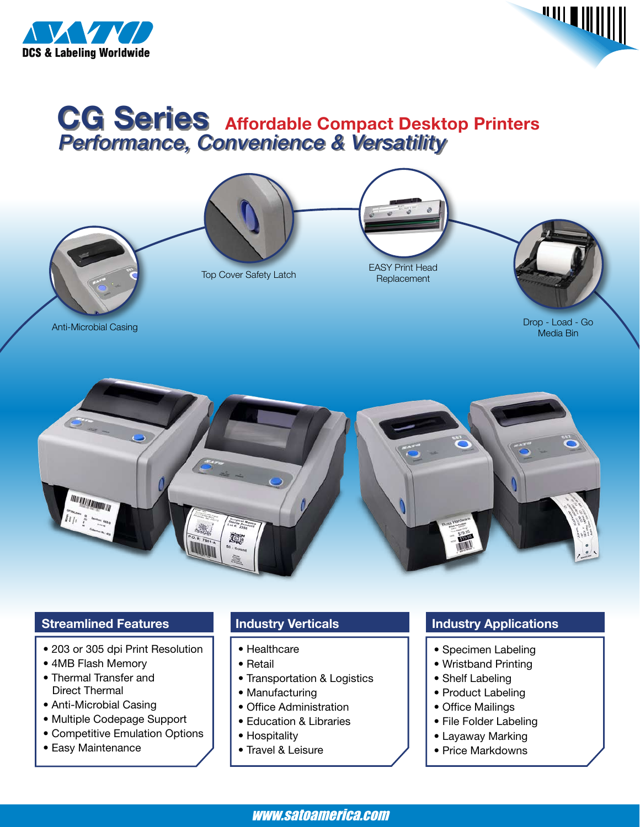



### **CG Series** Performance, Convenience & Versatility **Affordable Compact Desktop Printers**



Media Bin



#### **Streamlined Features**

- 203 or 305 dpi Print Resolution
- 4MB Flash Memory
- Thermal Transfer and Direct Thermal
- Anti-Microbial Casing
- Multiple Codepage Support
- Competitive Emulation Options
- Easy Maintenance

## **Industry Verticals**

- Healthcare
- Retail
- Transportation & Logistics
- Manufacturing
- Office Administration
- Education & Libraries
- Hospitality
- Travel & Leisure

#### **Industry Applications**

- Specimen Labeling
- Wristband Printing
- Shelf Labeling
- Product Labeling
- Office Mailings
- File Folder Labeling
- Layaway Marking
- Price Markdowns